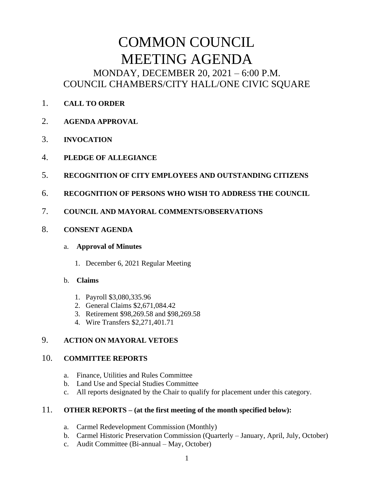# COMMON COUNCIL MEETING AGENDA MONDAY, DECEMBER 20, 2021 – 6:00 P.M. COUNCIL CHAMBERS/CITY HALL/ONE CIVIC SQUARE

- 1. **CALL TO ORDER**
- 2. **AGENDA APPROVAL**
- 3. **INVOCATION**
- 4. **PLEDGE OF ALLEGIANCE**
- 5. **RECOGNITION OF CITY EMPLOYEES AND OUTSTANDING CITIZENS**
- 6. **RECOGNITION OF PERSONS WHO WISH TO ADDRESS THE COUNCIL**
- 7. **COUNCIL AND MAYORAL COMMENTS/OBSERVATIONS**
- 8. **CONSENT AGENDA**

#### a. **Approval of Minutes**

1. December 6, 2021 Regular Meeting

#### b. **Claims**

- 1. Payroll \$3,080,335.96
- 2. General Claims \$2,671,084.42
- 3. Retirement \$98,269.58 and \$98,269.58
- 4. Wire Transfers \$2,271,401.71

## 9. **ACTION ON MAYORAL VETOES**

#### 10. **COMMITTEE REPORTS**

- a. Finance, Utilities and Rules Committee
- b. Land Use and Special Studies Committee
- c. All reports designated by the Chair to qualify for placement under this category.

#### 11. **OTHER REPORTS – (at the first meeting of the month specified below):**

- a. Carmel Redevelopment Commission (Monthly)
- b. Carmel Historic Preservation Commission (Quarterly January, April, July, October)
- c. Audit Committee (Bi-annual May, October)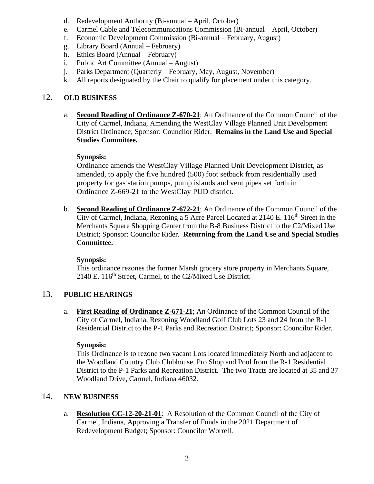- d. Redevelopment Authority (Bi-annual April, October)
- e. Carmel Cable and Telecommunications Commission (Bi-annual April, October)
- f. Economic Development Commission (Bi-annual February, August)
- g. Library Board (Annual February)
- h. Ethics Board (Annual February)
- i. Public Art Committee (Annual August)
- j. Parks Department (Quarterly February, May, August, November)
- k. All reports designated by the Chair to qualify for placement under this category.

### 12. **OLD BUSINESS**

a. **Second Reading of Ordinance Z-670-21**; An Ordinance of the Common Council of the City of Carmel, Indiana, Amending the WestClay Village Planned Unit Development District Ordinance; Sponsor: Councilor Rider. **Remains in the Land Use and Special Studies Committee.**

#### **Synopsis:**

Ordinance amends the WestClay Village Planned Unit Development District, as amended, to apply the five hundred (500) foot setback from residentially used property for gas station pumps, pump islands and vent pipes set forth in Ordinance Z-669-21 to the WestClay PUD district.

b. **Second Reading of Ordinance Z-672-21**; An Ordinance of the Common Council of the City of Carmel, Indiana, Rezoning a 5 Acre Parcel Located at  $2140 \text{ E}$ .  $116^{\text{th}}$  Street in the Merchants Square Shopping Center from the B-8 Business District to the C2/Mixed Use District; Sponsor: Councilor Rider. **Returning from the Land Use and Special Studies Committee.**

#### **Synopsis:**

This ordinance rezones the former Marsh grocery store property in Merchants Square, 2140 E. 116<sup>th</sup> Street, Carmel, to the C2/Mixed Use District.

#### 13. **PUBLIC HEARINGS**

a. **First Reading of Ordinance Z-671-21**; An Ordinance of the Common Council of the City of Carmel, Indiana, Rezoning Woodland Golf Club Lots 23 and 24 from the R-1 Residential District to the P-1 Parks and Recreation District; Sponsor: Councilor Rider.

#### **Synopsis:**

This Ordinance is to rezone two vacant Lots located immediately North and adjacent to the Woodland Country Club Clubhouse, Pro Shop and Pool from the R-1 Residential District to the P-1 Parks and Recreation District. The two Tracts are located at 35 and 37 Woodland Drive, Carmel, Indiana 46032.

#### 14. **NEW BUSINESS**

a. **Resolution CC-12-20-21-01**: A Resolution of the Common Council of the City of Carmel, Indiana, Approving a Transfer of Funds in the 2021 Department of Redevelopment Budget; Sponsor: Councilor Worrell.